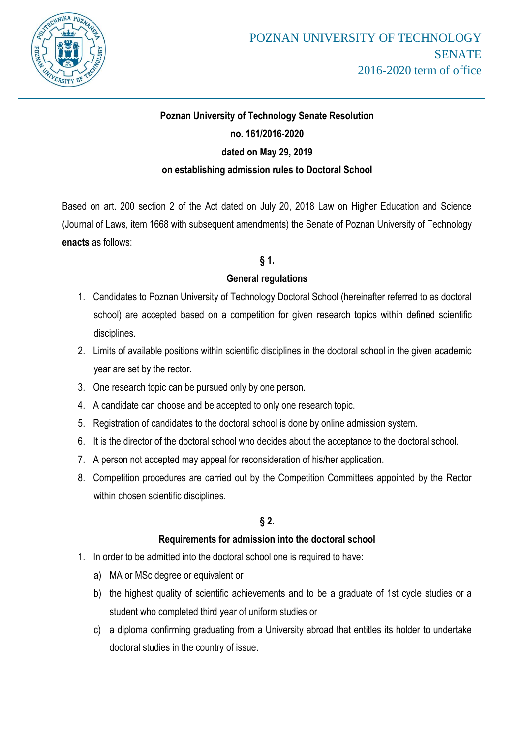

# **Poznan University of Technology Senate Resolution no. 161/2016-2020 dated on May 29, 2019 on establishing admission rules to Doctoral School**

Based on art. 200 section 2 of the Act dated on July 20, 2018 Law on Higher Education and Science (Journal of Laws, item 1668 with subsequent amendments) the Senate of Poznan University of Technology **enacts** as follows:

# **§ 1.**

# **General regulations**

- 1. Candidates to Poznan University of Technology Doctoral School (hereinafter referred to as doctoral school) are accepted based on a competition for given research topics within defined scientific disciplines.
- 2. Limits of available positions within scientific disciplines in the doctoral school in the given academic year are set by the rector.
- 3. One research topic can be pursued only by one person.
- 4. A candidate can choose and be accepted to only one research topic.
- 5. Registration of candidates to the doctoral school is done by online admission system.
- 6. It is the director of the doctoral school who decides about the acceptance to the doctoral school.
- 7. A person not accepted may appeal for reconsideration of his/her application.
- 8. Competition procedures are carried out by the Competition Committees appointed by the Rector within chosen scientific disciplines.

# **§ 2.**

# **Requirements for admission into the doctoral school**

- 1. In order to be admitted into the doctoral school one is required to have:
	- a) MA or MSc degree or equivalent or
	- b) the highest quality of scientific achievements and to be a graduate of 1st cycle studies or a student who completed third year of uniform studies or
	- c) a diploma confirming graduating from a University abroad that entitles its holder to undertake doctoral studies in the country of issue.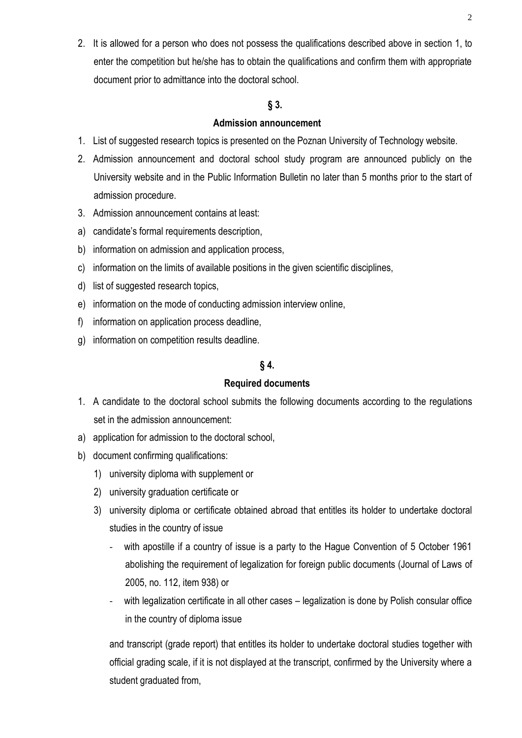2. It is allowed for a person who does not possess the qualifications described above in section 1, to enter the competition but he/she has to obtain the qualifications and confirm them with appropriate document prior to admittance into the doctoral school.

### **§ 3.**

### **Admission announcement**

- 1. List of suggested research topics is presented on the Poznan University of Technology website.
- 2. Admission announcement and doctoral school study program are announced publicly on the University website and in the Public Information Bulletin no later than 5 months prior to the start of admission procedure.
- 3. Admission announcement contains at least:
- a) candidate's formal requirements description,
- b) information on admission and application process,
- c) information on the limits of available positions in the given scientific disciplines,
- d) list of suggested research topics,
- e) information on the mode of conducting admission interview online,
- f) information on application process deadline,
- g) information on competition results deadline.

# **§ 4.**

# **Required documents**

- 1. A candidate to the doctoral school submits the following documents according to the regulations set in the admission announcement:
- a) application for admission to the doctoral school,
- b) document confirming qualifications:
	- 1) university diploma with supplement or
	- 2) university graduation certificate or
	- 3) university diploma or certificate obtained abroad that entitles its holder to undertake doctoral studies in the country of issue
		- with apostille if a country of issue is a party to the Hague Convention of 5 October 1961 abolishing the requirement of legalization for foreign public documents (Journal of Laws of 2005, no. 112, item 938) or
		- with legalization certificate in all other cases legalization is done by Polish consular office in the country of diploma issue

and transcript (grade report) that entitles its holder to undertake doctoral studies together with official grading scale, if it is not displayed at the transcript, confirmed by the University where a student graduated from,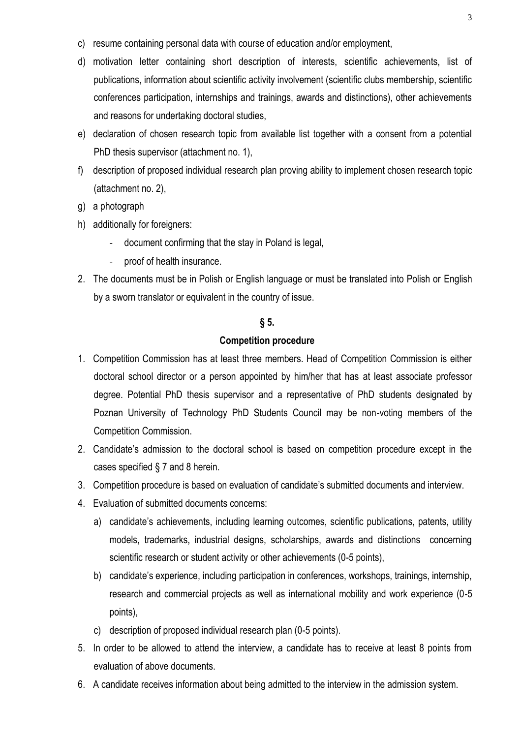- c) resume containing personal data with course of education and/or employment,
- d) motivation letter containing short description of interests, scientific achievements, list of publications, information about scientific activity involvement (scientific clubs membership, scientific conferences participation, internships and trainings, awards and distinctions), other achievements and reasons for undertaking doctoral studies,
- e) declaration of chosen research topic from available list together with a consent from a potential PhD thesis supervisor (attachment no. 1),
- f) description of proposed individual research plan proving ability to implement chosen research topic (attachment no. 2),
- g) a photograph
- h) additionally for foreigners:
	- document confirming that the stay in Poland is legal,
	- proof of health insurance.
- 2. The documents must be in Polish or English language or must be translated into Polish or English by a sworn translator or equivalent in the country of issue.

### **§ 5.**

### **Competition procedure**

- 1. Competition Commission has at least three members. Head of Competition Commission is either doctoral school director or a person appointed by him/her that has at least associate professor degree. Potential PhD thesis supervisor and a representative of PhD students designated by Poznan University of Technology PhD Students Council may be non-voting members of the Competition Commission.
- 2. Candidate's admission to the doctoral school is based on competition procedure except in the cases specified § 7 and 8 herein.
- 3. Competition procedure is based on evaluation of candidate's submitted documents and interview.
- 4. Evaluation of submitted documents concerns:
	- a) candidate's achievements, including learning outcomes, scientific publications, patents, utility models, trademarks, industrial designs, scholarships, awards and distinctions concerning scientific research or student activity or other achievements (0-5 points),
	- b) candidate's experience, including participation in conferences, workshops, trainings, internship, research and commercial projects as well as international mobility and work experience (0-5 points),
	- c) description of proposed individual research plan (0-5 points).
- 5. In order to be allowed to attend the interview, a candidate has to receive at least 8 points from evaluation of above documents.
- 6. A candidate receives information about being admitted to the interview in the admission system.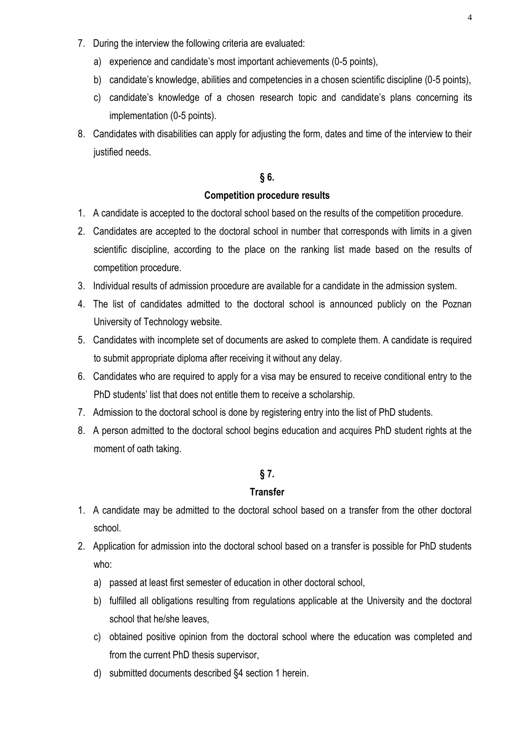- 7. During the interview the following criteria are evaluated:
	- a) experience and candidate's most important achievements (0-5 points),
	- b) candidate's knowledge, abilities and competencies in a chosen scientific discipline (0-5 points),
	- c) candidate's knowledge of a chosen research topic and candidate's plans concerning its implementation (0-5 points).
- 8. Candidates with disabilities can apply for adjusting the form, dates and time of the interview to their justified needs.

### **§ 6.**

#### **Competition procedure results**

- 1. A candidate is accepted to the doctoral school based on the results of the competition procedure.
- 2. Candidates are accepted to the doctoral school in number that corresponds with limits in a given scientific discipline, according to the place on the ranking list made based on the results of competition procedure.
- 3. Individual results of admission procedure are available for a candidate in the admission system.
- 4. The list of candidates admitted to the doctoral school is announced publicly on the Poznan University of Technology website.
- 5. Candidates with incomplete set of documents are asked to complete them. A candidate is required to submit appropriate diploma after receiving it without any delay.
- 6. Candidates who are required to apply for a visa may be ensured to receive conditional entry to the PhD students' list that does not entitle them to receive a scholarship.
- 7. Admission to the doctoral school is done by registering entry into the list of PhD students.
- 8. A person admitted to the doctoral school begins education and acquires PhD student rights at the moment of oath taking.

#### **§ 7.**

#### **Transfer**

- 1. A candidate may be admitted to the doctoral school based on a transfer from the other doctoral school.
- 2. Application for admission into the doctoral school based on a transfer is possible for PhD students who:
	- a) passed at least first semester of education in other doctoral school,
	- b) fulfilled all obligations resulting from regulations applicable at the University and the doctoral school that he/she leaves,
	- c) obtained positive opinion from the doctoral school where the education was completed and from the current PhD thesis supervisor,
	- d) submitted documents described §4 section 1 herein.